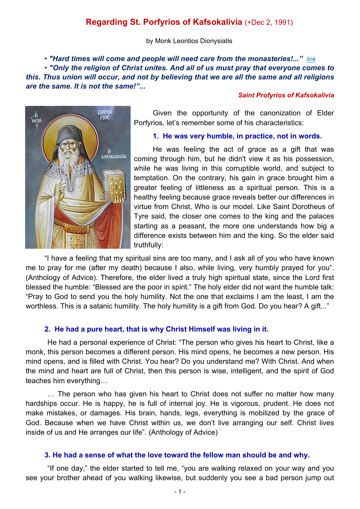# **Regarding St. Porfyrios of Kafsokalivia** (+Dec 2, 1991)

by Monk Leontios Dionysiatis

*• "Hard times will come and people will need care from the monasteries!..." [link](http://www.imdleo.gr/diaf/2010/06/Mon_people.pdf) • "Only the religion of Christ unites. And all of us must pray that everyone comes to this. Thus union will occur, and not by believing that we are all the same and all religions are the same. It is not the same!"...*

#### *Saint Profyrios of Kafsokalivia*



Given the opportunity of the canonization of Elder Porfyrios, let's remember some of his characteristics:

### **1. He was very humble, in practice, not in words.**

He was feeling the act of grace as a gift that was coming through him, but he didn't view it as his possession, while he was living in this corruptible world, and subject to temptation. On the contrary, his gain in grace brought him a greater feeling of littleness as a spiritual person. This is a healthy feeling because grace reveals better our differences in virtue from Christ, Who is our model. Like Saint Dorotheus of Tyre said, the closer one comes to the king and the palaces starting as a peasant, the more one understands how big a difference exists between him and the king. So the elder said truthfully:

"I have a feeling that my spiritual sins are too many, and I ask all of you who have known me to pray for me (after my death) because I also, while living, very humbly prayed for you". (Anthology of Advice). Therefore, the elder lived a truly high spiritual state, since the Lord first blessed the humble: "Blessed are the poor in spirit." The holy elder did not want the humble talk: "Pray to God to send you the holy humility. Not the one that exclaims I am the least, I am the worthless. This is a satanic humility. The holy humility is a gift from God. Do you hear? A gift..."

## **2. He had a pure heart, that is why Christ Himself was living in it.**

 He had a personal experience of Christ: "The person who gives his heart to Christ, like a monk, this person becomes a different person. His mind opens, he becomes a new person. His mind opens, and is filled with Christ. You hear? Do you understand me? With Christ. And when the mind and heart are full of Christ, then this person is wise, intelligent, and the spirit of God teaches him everything…

 … The person who has given his heart to Christ does not suffer no matter how many hardships occur. He is happy, he is full of internal joy. He is vigorous, prudent. He does not make mistakes, or damages. His brain, hands, legs, everything is mobilized by the grace of God. Because when we have Christ within us, we don't live arranging our self. Christ lives inside of us and He arranges our life". (Anthology of Advice)

## **3. He had a sense of what the love toward the fellow man should be and why.**

 "If one day," the elder started to tell me, "you are walking relaxed on your way and you see your brother ahead of you walking likewise, but suddenly you see a bad person jump out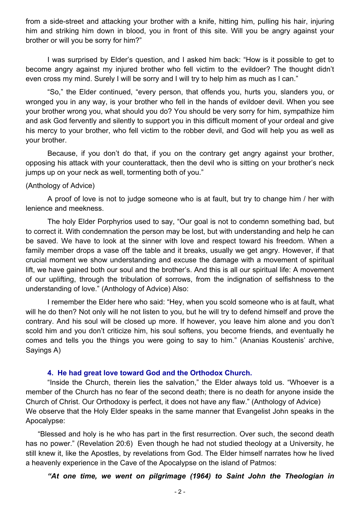from a side-street and attacking your brother with a knife, hitting him, pulling his hair, injuring him and striking him down in blood, you in front of this site. Will you be angry against your brother or will you be sorry for him?"

 I was surprised by Elder's question, and I asked him back: "How is it possible to get to become angry against my injured brother who fell victim to the evildoer? The thought didn't even cross my mind. Surely I will be sorry and I will try to help him as much as I can."

 "So," the Elder continued, "every person, that offends you, hurts you, slanders you, or wronged you in any way, is your brother who fell in the hands of evildoer devil. When you see your brother wrong you, what should you do? You should be very sorry for him, sympathize him and ask God fervently and silently to support you in this difficult moment of your ordeal and give his mercy to your brother, who fell victim to the robber devil, and God will help you as well as your brother.

 Because, if you don't do that, if you on the contrary get angry against your brother, opposing his attack with your counterattack, then the devil who is sitting on your brother's neck jumps up on your neck as well, tormenting both of you."

### (Anthology of Advice)

 A proof of love is not to judge someone who is at fault, but try to change him / her with lenience and meekness.

 The holy Elder Porphyrios used to say, "Our goal is not to condemn something bad, but to correct it. With condemnation the person may be lost, but with understanding and help he can be saved. We have to look at the sinner with love and respect toward his freedom. When a family member drops a vase off the table and it breaks, usually we get angry. However, if that crucial moment we show understanding and excuse the damage with a movement of spiritual lift, we have gained both our soul and the brother's. And this is all our spiritual life: A movement of our uplifting, through the tribulation of sorrows, from the indignation of selfishness to the understanding of love." (Anthology of Advice) Also:

 I remember the Elder here who said: "Hey, when you scold someone who is at fault, what will he do then? Not only will he not listen to you, but he will try to defend himself and prove the contrary. And his soul will be closed up more. If however, you leave him alone and you don't scold him and you don't criticize him, his soul softens, you become friends, and eventually he comes and tells you the things you were going to say to him." (Ananias Koustenis' archive, Sayings A)

#### **4. He had great love toward God and the Orthodox Church.**

 "Inside the Church, therein lies the salvation," the Elder always told us. "Whoever is a member of the Church has no fear of the second death; there is no death for anyone inside the Church of Christ. Our Orthodoxy is perfect, it does not have any flaw." (Anthology of Advice) We observe that the Holy Elder speaks in the same manner that Evangelist John speaks in the Apocalypse:

 "Blessed and holy is he who has part in the first resurrection. Over such, the second death has no power." (Revelation 20:6) Even though he had not studied theology at a University, he still knew it, like the Apostles, by revelations from God. The Elder himself narrates how he lived a heavenly experience in the Cave of the Apocalypse on the island of Patmos:

 *"At one time, we went on pilgrimage (1964) to Saint John the Theologian in*